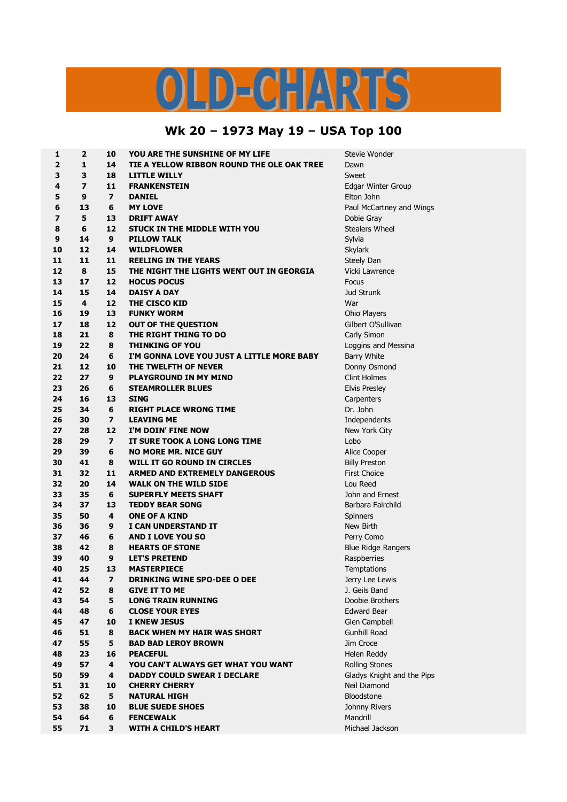## OLD-CHARTS

## **Wk 20 – 1973 May 19 – USA Top 100**

| 1              | $\overline{2}$ | 10                      | YOU ARE THE SUNSHINE OF MY LIFE            | Stevie Wonder              |
|----------------|----------------|-------------------------|--------------------------------------------|----------------------------|
| $\overline{2}$ | $\mathbf{1}$   | 14                      | TIE A YELLOW RIBBON ROUND THE OLE OAK TREE | Dawn                       |
| 3              | 3              | 18                      | <b>LITTLE WILLY</b>                        | Sweet                      |
| 4              | $\overline{z}$ | 11                      | <b>FRANKENSTEIN</b>                        | <b>Edgar Winter Group</b>  |
| 5              | 9              | $\overline{\mathbf{z}}$ | <b>DANIEL</b>                              | Elton John                 |
| 6              | 13             | 6                       | <b>MY LOVE</b>                             | Paul McCartney and Wings   |
| 7              | 5              | 13                      | <b>DRIFT AWAY</b>                          | Dobie Gray                 |
| 8              | 6              | 12                      | STUCK IN THE MIDDLE WITH YOU               | <b>Stealers Wheel</b>      |
| 9              | 14             | 9                       | <b>PILLOW TALK</b>                         | Sylvia                     |
| 10             | 12             | 14                      | <b>WILDFLOWER</b>                          | <b>Skylark</b>             |
| 11             | 11             | 11                      | <b>REELING IN THE YEARS</b>                | Steely Dan                 |
| 12             | 8              | 15                      | THE NIGHT THE LIGHTS WENT OUT IN GEORGIA   | Vicki Lawrence             |
| 13             | 17             | 12                      | <b>HOCUS POCUS</b>                         | Focus                      |
| 14             | 15             | 14                      | <b>DAISY A DAY</b>                         | <b>Jud Strunk</b>          |
| 15             | 4              | 12                      | THE CISCO KID                              | War                        |
| 16             | 19             | 13                      | <b>FUNKY WORM</b>                          | Ohio Players               |
| 17             | 18             | 12                      | <b>OUT OF THE QUESTION</b>                 | Gilbert O'Sullivan         |
| 18             | 21             | 8                       | THE RIGHT THING TO DO                      | Carly Simon                |
| 19             | 22             | 8                       | <b>THINKING OF YOU</b>                     | Loggins and Messina        |
| 20             | 24             | 6                       | I'M GONNA LOVE YOU JUST A LITTLE MORE BABY | <b>Barry White</b>         |
| 21             | 12             | 10                      | THE TWELFTH OF NEVER                       | Donny Osmond               |
| 22             | 27             | 9                       | <b>PLAYGROUND IN MY MIND</b>               | <b>Clint Holmes</b>        |
| 23             | 26             | 6                       | <b>STEAMROLLER BLUES</b>                   | <b>Elvis Presley</b>       |
| 24             | 16             | 13                      | <b>SING</b>                                | Carpenters                 |
| 25             | 34             | 6                       | <b>RIGHT PLACE WRONG TIME</b>              | Dr. John                   |
| 26             | 30             | $\overline{\mathbf{z}}$ | <b>LEAVING ME</b>                          | Independents               |
| 27             | 28             | 12                      | I'M DOIN' FINE NOW                         | New York City              |
| 28             | 29             | $\overline{\mathbf{z}}$ | IT SURE TOOK A LONG LONG TIME              | Lobo                       |
| 29             | 39             | 6                       | <b>NO MORE MR. NICE GUY</b>                | Alice Cooper               |
| 30             | 41             | 8                       | WILL IT GO ROUND IN CIRCLES                | <b>Billy Preston</b>       |
| 31             | 32             | 11                      | <b>ARMED AND EXTREMELY DANGEROUS</b>       | <b>First Choice</b>        |
| 32             | 20             | 14                      | <b>WALK ON THE WILD SIDE</b>               | Lou Reed                   |
| 33             | 35             | 6                       | <b>SUPERFLY MEETS SHAFT</b>                | John and Ernest            |
| 34             | 37             | 13                      | <b>TEDDY BEAR SONG</b>                     | Barbara Fairchild          |
| 35             | 50             | 4                       | <b>ONE OF A KIND</b>                       | Spinners                   |
| 36             | 36             | 9                       | I CAN UNDERSTAND IT                        | New Birth                  |
| 37             | 46             | 6                       | <b>AND I LOVE YOU SO</b>                   | Perry Como                 |
| 38             | 42             | 8                       | <b>HEARTS OF STONE</b>                     | <b>Blue Ridge Rangers</b>  |
| 39             | 40             | 9                       | <b>LET'S PRETEND</b>                       | Raspberries                |
| 40             | 25             | 13                      | <b>MASTERPIECE</b>                         | Temptations                |
| 41             | 44             | 7                       | DRINKING WINE SPO-DEE O DEE                | Jerry Lee Lewis            |
| 42             | 52             | 8                       | <b>GIVE IT TO ME</b>                       | J. Geils Band              |
| 43             | 54             | 5                       | <b>LONG TRAIN RUNNING</b>                  | Doobie Brothers            |
| 44             | 48             | 6                       | <b>CLOSE YOUR EYES</b>                     | <b>Edward Bear</b>         |
| 45             | 47             | 10                      | <b>I KNEW JESUS</b>                        | Glen Campbell              |
| 46             | 51             | 8                       | <b>BACK WHEN MY HAIR WAS SHORT</b>         | <b>Gunhill Road</b>        |
| 47             | 55             | 5                       | <b>BAD BAD LEROY BROWN</b>                 | Jim Croce                  |
| 48             | 23             | 16                      | <b>PEACEFUL</b>                            | Helen Reddy                |
| 49             | 57             | 4                       | YOU CAN'T ALWAYS GET WHAT YOU WANT         | <b>Rolling Stones</b>      |
| 50             | 59             | 4                       | <b>DADDY COULD SWEAR I DECLARE</b>         | Gladys Knight and the Pips |
| 51             | 31             | 10                      | <b>CHERRY CHERRY</b>                       | Neil Diamond               |
| 52             | 62             | 5                       | <b>NATURAL HIGH</b>                        | Bloodstone                 |
| 53             | 38             | 10                      | <b>BLUE SUEDE SHOES</b>                    | Johnny Rivers              |
| 54             | 64             | 6                       | <b>FENCEWALK</b>                           | Mandrill                   |
| 55             | 71             | 3                       | <b>WITH A CHILD'S HEART</b>                | Michael Jackson            |
|                |                |                         |                                            |                            |